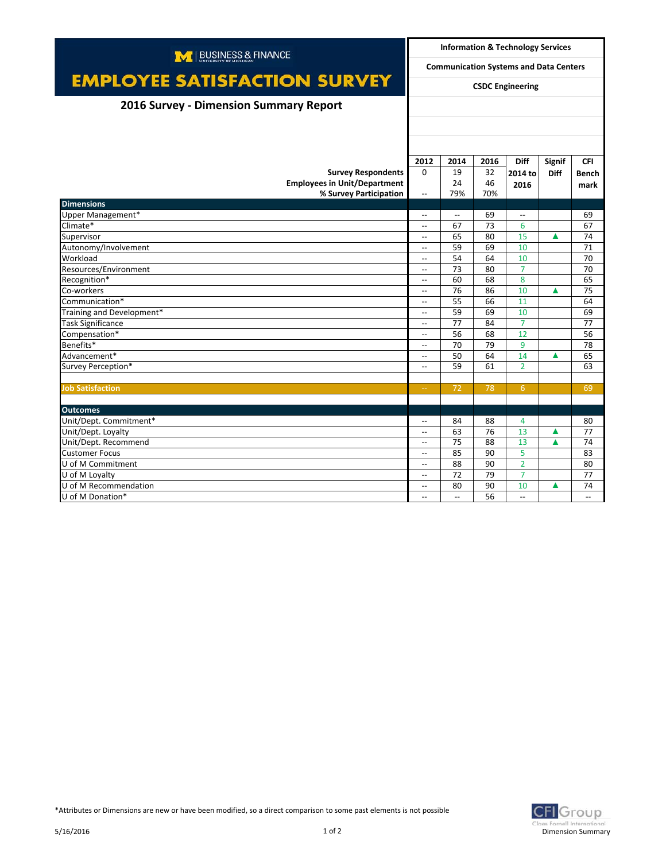| M   BUSINESS & FINANCE                 |                                               |                          | <b>Information &amp; Technology Services</b> |                          |               |              |  |  |
|----------------------------------------|-----------------------------------------------|--------------------------|----------------------------------------------|--------------------------|---------------|--------------|--|--|
|                                        | <b>Communication Systems and Data Centers</b> |                          |                                              |                          |               |              |  |  |
| <b>EMPLOYEE SATISFACTION SURVEY</b>    | <b>CSDC Engineering</b>                       |                          |                                              |                          |               |              |  |  |
| 2016 Survey - Dimension Summary Report |                                               |                          |                                              |                          |               |              |  |  |
|                                        |                                               |                          |                                              |                          |               |              |  |  |
|                                        |                                               |                          |                                              |                          |               |              |  |  |
|                                        |                                               |                          |                                              |                          |               |              |  |  |
|                                        | 2012                                          | 2014                     | 2016                                         | <b>Diff</b>              | <b>Signif</b> | <b>CFI</b>   |  |  |
| <b>Survey Respondents</b>              | $\Omega$                                      | 19                       | 32                                           | 2014 to                  | <b>Diff</b>   | <b>Bench</b> |  |  |
| <b>Employees in Unit/Department</b>    |                                               | 24                       | 46                                           | 2016                     |               | mark         |  |  |
| % Survey Participation                 | $\overline{\phantom{a}}$                      | 79%                      | 70%                                          |                          |               |              |  |  |
| <b>Dimensions</b>                      |                                               |                          |                                              |                          |               |              |  |  |
| Upper Management*                      | $\overline{\phantom{a}}$                      | $\overline{\phantom{a}}$ | 69                                           | $\overline{\phantom{0}}$ |               | 69           |  |  |
| Climate*                               | $\overline{\phantom{a}}$                      | 67                       | 73                                           | 6                        |               | 67           |  |  |
| Supervisor                             | $\overline{\phantom{a}}$                      | 65                       | 80                                           | 15                       | ▲             | 74           |  |  |
| Autonomy/Involvement                   | $\overline{\phantom{a}}$                      | 59                       | 69                                           | 10                       |               | 71           |  |  |
| Workload                               | $\sim$                                        | 54                       | 64                                           | 10                       |               | 70           |  |  |
| Resources/Environment                  | $\overline{\phantom{a}}$                      | 73                       | 80                                           | $\overline{7}$           |               | 70           |  |  |
| Recognition*                           | $\overline{a}$                                | 60                       | 68                                           | 8                        |               | 65           |  |  |
| Co-workers                             | $\overline{\phantom{a}}$                      | 76                       | 86                                           | 10                       | ▲             | 75           |  |  |
| Communication*                         | $\overline{\phantom{a}}$                      | 55                       | 66                                           | 11                       |               | 64           |  |  |
| Training and Development*              | $\overline{\phantom{a}}$                      | 59                       | 69                                           | 10                       |               | 69           |  |  |
| <b>Task Significance</b>               | $\overline{\phantom{a}}$                      | 77                       | 84                                           | $\overline{7}$           |               | 77           |  |  |
| Compensation*                          | $\overline{\phantom{a}}$                      | 56                       | 68                                           | 12                       |               | 56           |  |  |
| Benefits*                              | $\overline{\phantom{a}}$                      | 70                       | 79                                           | 9                        |               | 78           |  |  |
| Advancement*                           | $\overline{\phantom{a}}$                      | 50                       | 64                                           | 14                       | ▲             | 65           |  |  |
| Survey Perception*                     | $\overline{\phantom{a}}$                      | 59                       | 61                                           | $\overline{2}$           |               | 63           |  |  |
|                                        |                                               |                          |                                              |                          |               |              |  |  |
| <b>Job Satisfaction</b>                | $\rightarrow$                                 | 72                       | 78                                           | 6                        |               | 69           |  |  |
|                                        |                                               |                          |                                              |                          |               |              |  |  |
| <b>Outcomes</b>                        |                                               |                          |                                              |                          |               |              |  |  |
| Unit/Dept. Commitment*                 | $\overline{\phantom{a}}$                      | 84                       | 88                                           | 4                        |               | 80           |  |  |
| Unit/Dept. Loyalty                     | $\overline{\phantom{a}}$                      | 63                       | 76                                           | 13                       | ▲             | 77           |  |  |
| Unit/Dept. Recommend                   | $\overline{\phantom{a}}$                      | 75                       | 88                                           | 13                       | ▲             | 74           |  |  |
| <b>Customer Focus</b>                  | $\overline{\phantom{a}}$                      | 85                       | 90                                           | 5                        |               | 83           |  |  |
| U of M Commitment                      | $\overline{a}$                                | 88                       | 90                                           | $\overline{2}$           |               | 80           |  |  |
| U of M Loyalty                         | $\overline{\phantom{a}}$                      | 72                       | 79                                           | $\overline{7}$           |               | 77           |  |  |
| U of M Recommendation                  | $\overline{\phantom{a}}$                      | 80                       | 90                                           | 10                       | ▲             | 74           |  |  |
| U of M Donation*                       | $\overline{\phantom{a}}$                      | $\overline{\phantom{a}}$ | 56                                           | $\overline{\phantom{a}}$ |               | $-$          |  |  |